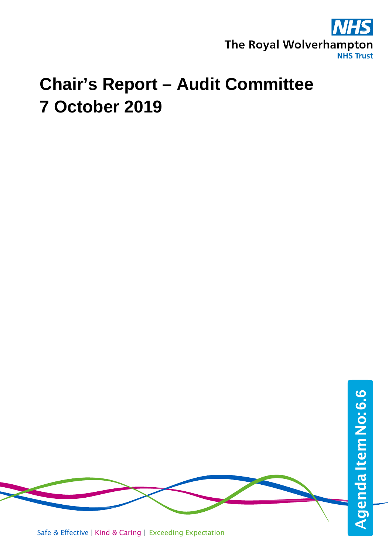

## **Chair's Report – Audit Committee 7 October 2019**



Safe & Effective | Kind & Caring | Exceeding Expectation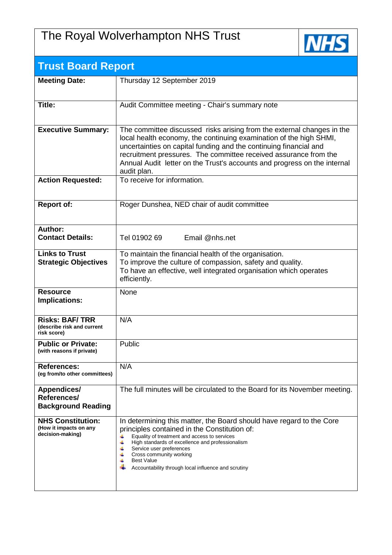## The Royal Wolverhampton NHS Trust



| <b>Trust Board Report</b>                                              |                                                                                                                                                                                                                                                                                                                                                                                  |  |
|------------------------------------------------------------------------|----------------------------------------------------------------------------------------------------------------------------------------------------------------------------------------------------------------------------------------------------------------------------------------------------------------------------------------------------------------------------------|--|
| <b>Meeting Date:</b>                                                   | Thursday 12 September 2019                                                                                                                                                                                                                                                                                                                                                       |  |
| <b>Title:</b>                                                          | Audit Committee meeting - Chair's summary note                                                                                                                                                                                                                                                                                                                                   |  |
| <b>Executive Summary:</b>                                              | The committee discussed risks arising from the external changes in the<br>local health economy, the continuing examination of the high SHMI,<br>uncertainties on capital funding and the continuing financial and<br>recruitment pressures. The committee received assurance from the<br>Annual Audit letter on the Trust's accounts and progress on the internal<br>audit plan. |  |
| <b>Action Requested:</b>                                               | To receive for information.                                                                                                                                                                                                                                                                                                                                                      |  |
| <b>Report of:</b>                                                      | Roger Dunshea, NED chair of audit committee                                                                                                                                                                                                                                                                                                                                      |  |
| Author:<br><b>Contact Details:</b>                                     | Tel 01902 69<br>Email @nhs.net                                                                                                                                                                                                                                                                                                                                                   |  |
| <b>Links to Trust</b><br><b>Strategic Objectives</b>                   | To maintain the financial health of the organisation.<br>To improve the culture of compassion, safety and quality.<br>To have an effective, well integrated organisation which operates<br>efficiently.                                                                                                                                                                          |  |
| <b>Resource</b><br>Implications:                                       | None                                                                                                                                                                                                                                                                                                                                                                             |  |
| <b>Risks: BAF/TRR</b><br>(describe risk and current<br>risk score)     | N/A                                                                                                                                                                                                                                                                                                                                                                              |  |
| <b>Public or Private:</b><br>(with reasons if private)                 | Public                                                                                                                                                                                                                                                                                                                                                                           |  |
| <b>References:</b><br>(eg from/to other committees)                    | N/A                                                                                                                                                                                                                                                                                                                                                                              |  |
| <b>Appendices/</b><br>References/<br><b>Background Reading</b>         | The full minutes will be circulated to the Board for its November meeting.                                                                                                                                                                                                                                                                                                       |  |
| <b>NHS Constitution:</b><br>(How it impacts on any<br>decision-making) | In determining this matter, the Board should have regard to the Core<br>principles contained in the Constitution of:<br>Equality of treatment and access to services<br>4<br>4<br>High standards of excellence and professionalism<br>Service user preferences<br>Cross community working<br>4<br><b>Best Value</b><br>4<br>Accountability through local influence and scrutiny  |  |